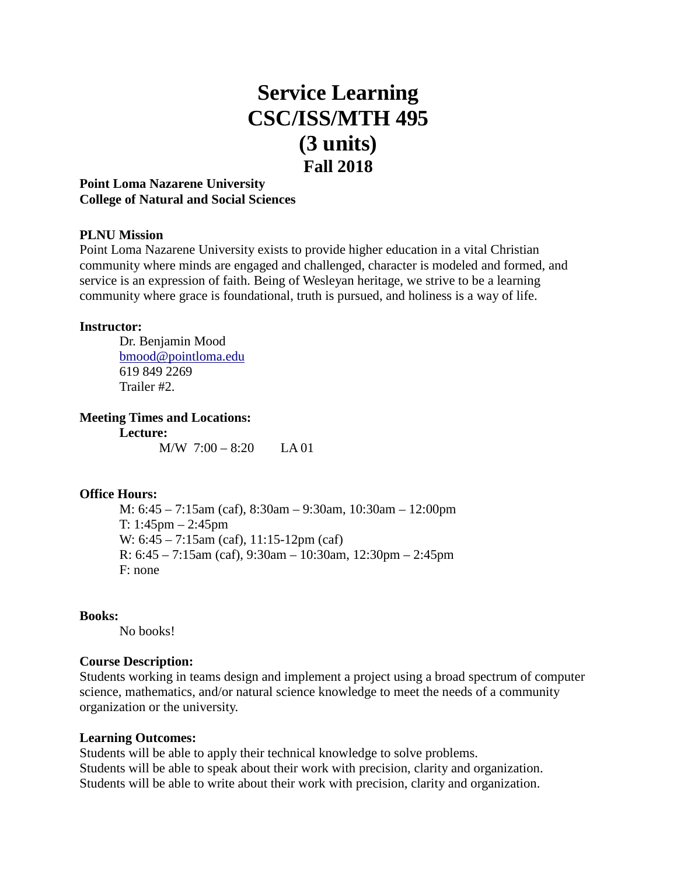# **Service Learning CSC/ISS/MTH 495 (3 units) Fall 2018**

**Point Loma Nazarene University College of Natural and Social Sciences**

#### **PLNU Mission**

Point Loma Nazarene University exists to provide higher education in a vital Christian community where minds are engaged and challenged, character is modeled and formed, and service is an expression of faith. Being of Wesleyan heritage, we strive to be a learning community where grace is foundational, truth is pursued, and holiness is a way of life.

#### **Instructor:**

Dr. Benjamin Mood [bmood@pointloma.edu](mailto:bmood@pointloma.edu) 619 849 2269 Trailer #2.

#### **Meeting Times and Locations:**

**Lecture:**

 $M/W$  7:00 – 8:20 LA 01

#### **Office Hours:**

M: 6:45 – 7:15am (caf), 8:30am – 9:30am, 10:30am – 12:00pm T: 1:45pm – 2:45pm W: 6:45 – 7:15am (caf), 11:15-12pm (caf) R: 6:45 – 7:15am (caf), 9:30am – 10:30am, 12:30pm – 2:45pm F: none

#### **Books:**

No books!

#### **Course Description:**

Students working in teams design and implement a project using a broad spectrum of computer science, mathematics, and/or natural science knowledge to meet the needs of a community organization or the university.

#### **Learning Outcomes:**

Students will be able to apply their technical knowledge to solve problems. Students will be able to speak about their work with precision, clarity and organization. Students will be able to write about their work with precision, clarity and organization.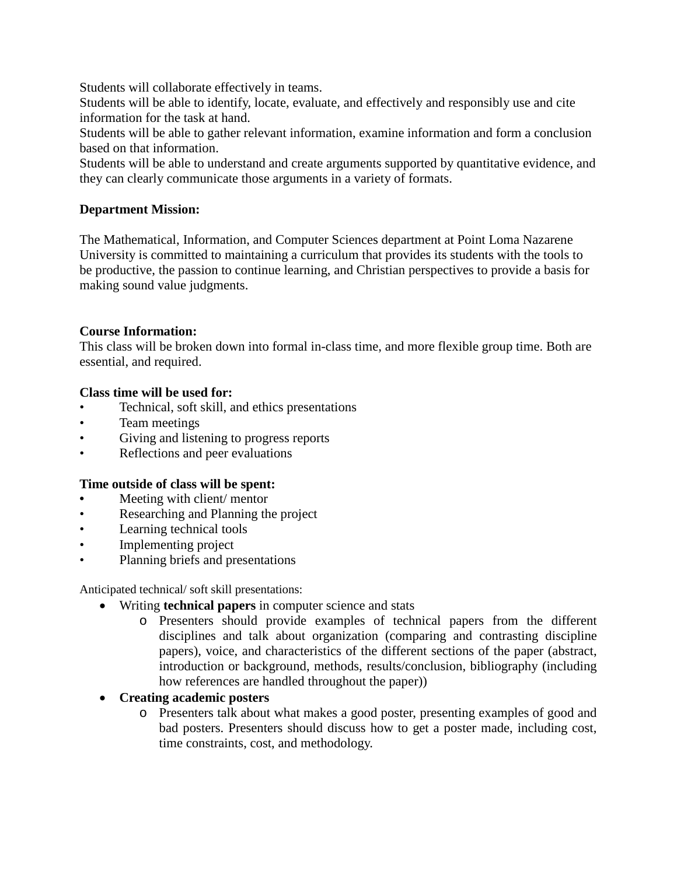Students will collaborate effectively in teams.

Students will be able to identify, locate, evaluate, and effectively and responsibly use and cite information for the task at hand.

Students will be able to gather relevant information, examine information and form a conclusion based on that information.

Students will be able to understand and create arguments supported by quantitative evidence, and they can clearly communicate those arguments in a variety of formats.

# **Department Mission:**

The Mathematical, Information, and Computer Sciences department at Point Loma Nazarene University is committed to maintaining a curriculum that provides its students with the tools to be productive, the passion to continue learning, and Christian perspectives to provide a basis for making sound value judgments.

# **Course Information:**

This class will be broken down into formal in-class time, and more flexible group time. Both are essential, and required.

# **Class time will be used for:**

- Technical, soft skill, and ethics presentations
- Team meetings
- Giving and listening to progress reports
- Reflections and peer evaluations

#### **Time outside of class will be spent:**

- **•** Meeting with client/ mentor
- Researching and Planning the project
- Learning technical tools
- Implementing project
- Planning briefs and presentations

Anticipated technical/ soft skill presentations:

- Writing **technical papers** in computer science and stats
	- o Presenters should provide examples of technical papers from the different disciplines and talk about organization (comparing and contrasting discipline papers), voice, and characteristics of the different sections of the paper (abstract, introduction or background, methods, results/conclusion, bibliography (including how references are handled throughout the paper))
- **Creating academic posters**
	- o Presenters talk about what makes a good poster, presenting examples of good and bad posters. Presenters should discuss how to get a poster made, including cost, time constraints, cost, and methodology.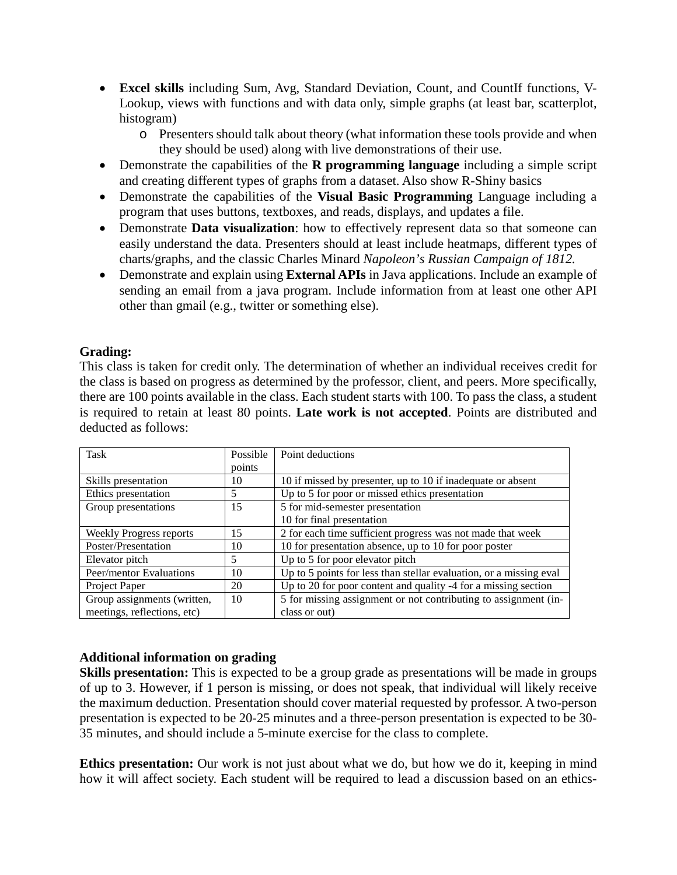- **Excel skills** including Sum, Avg, Standard Deviation, Count, and CountIf functions, V-Lookup, views with functions and with data only, simple graphs (at least bar, scatterplot, histogram)
	- o Presenters should talk about theory (what information these tools provide and when they should be used) along with live demonstrations of their use.
- Demonstrate the capabilities of the **R programming language** including a simple script and creating different types of graphs from a dataset. Also show R-Shiny basics
- Demonstrate the capabilities of the **Visual Basic Programming** Language including a program that uses buttons, textboxes, and reads, displays, and updates a file.
- Demonstrate **Data visualization**: how to effectively represent data so that someone can easily understand the data. Presenters should at least include heatmaps, different types of charts/graphs, and the classic Charles Minard *Napoleon's Russian Campaign of 1812.*
- Demonstrate and explain using **External APIs** in Java applications. Include an example of sending an email from a java program. Include information from at least one other API other than gmail (e.g., twitter or something else).

# **Grading:**

This class is taken for credit only. The determination of whether an individual receives credit for the class is based on progress as determined by the professor, client, and peers. More specifically, there are 100 points available in the class. Each student starts with 100. To pass the class, a student is required to retain at least 80 points. **Late work is not accepted**. Points are distributed and deducted as follows:

| <b>Task</b>                    | Possible | Point deductions                                                   |  |
|--------------------------------|----------|--------------------------------------------------------------------|--|
|                                | points   |                                                                    |  |
| Skills presentation            | 10       | 10 if missed by presenter, up to 10 if inadequate or absent        |  |
| Ethics presentation            | 5        | Up to 5 for poor or missed ethics presentation                     |  |
| Group presentations            | 15       | 5 for mid-semester presentation                                    |  |
|                                |          | 10 for final presentation                                          |  |
| <b>Weekly Progress reports</b> | 15       | 2 for each time sufficient progress was not made that week         |  |
| Poster/Presentation            | 10       | 10 for presentation absence, up to 10 for poor poster              |  |
| Elevator pitch                 | 5        | Up to 5 for poor elevator pitch                                    |  |
| Peer/mentor Evaluations        | 10       | Up to 5 points for less than stellar evaluation, or a missing eval |  |
| Project Paper                  | 20       | Up to 20 for poor content and quality -4 for a missing section     |  |
| Group assignments (written,    | 10       | 5 for missing assignment or not contributing to assignment (in-    |  |
| meetings, reflections, etc)    |          | class or out)                                                      |  |

# **Additional information on grading**

**Skills presentation:** This is expected to be a group grade as presentations will be made in groups of up to 3. However, if 1 person is missing, or does not speak, that individual will likely receive the maximum deduction. Presentation should cover material requested by professor. A two-person presentation is expected to be 20-25 minutes and a three-person presentation is expected to be 30- 35 minutes, and should include a 5-minute exercise for the class to complete.

**Ethics presentation:** Our work is not just about what we do, but how we do it, keeping in mind how it will affect society. Each student will be required to lead a discussion based on an ethics-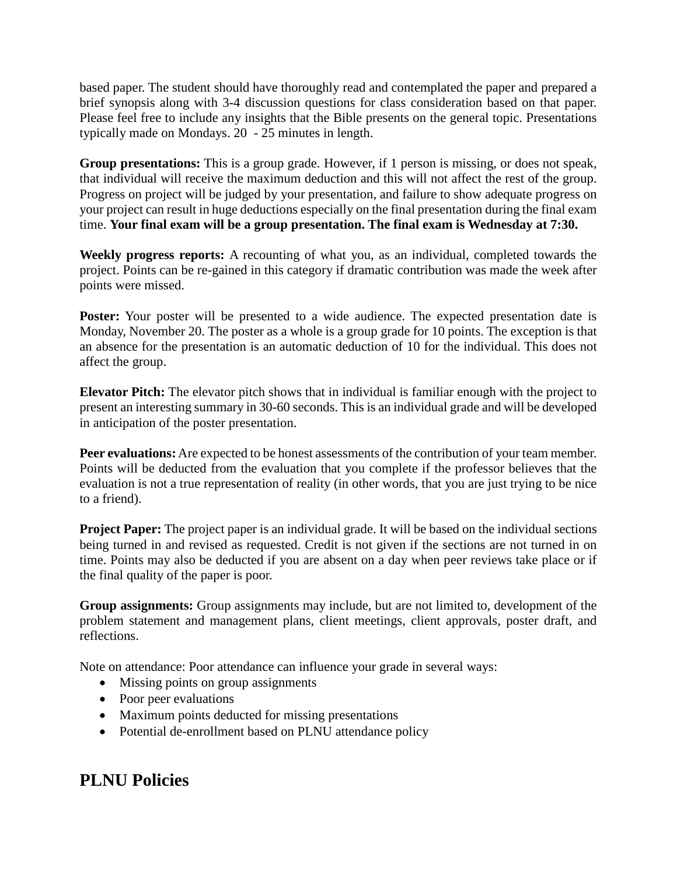based paper. The student should have thoroughly read and contemplated the paper and prepared a brief synopsis along with 3-4 discussion questions for class consideration based on that paper. Please feel free to include any insights that the Bible presents on the general topic. Presentations typically made on Mondays. 20 - 25 minutes in length.

**Group presentations:** This is a group grade. However, if 1 person is missing, or does not speak, that individual will receive the maximum deduction and this will not affect the rest of the group. Progress on project will be judged by your presentation, and failure to show adequate progress on your project can result in huge deductions especially on the final presentation during the final exam time. **Your final exam will be a group presentation. The final exam is Wednesday at 7:30.**

**Weekly progress reports:** A recounting of what you, as an individual, completed towards the project. Points can be re-gained in this category if dramatic contribution was made the week after points were missed.

**Poster:** Your poster will be presented to a wide audience. The expected presentation date is Monday, November 20. The poster as a whole is a group grade for 10 points. The exception is that an absence for the presentation is an automatic deduction of 10 for the individual. This does not affect the group.

**Elevator Pitch:** The elevator pitch shows that in individual is familiar enough with the project to present an interesting summary in 30-60 seconds. This is an individual grade and will be developed in anticipation of the poster presentation.

**Peer evaluations:** Are expected to be honest assessments of the contribution of your team member. Points will be deducted from the evaluation that you complete if the professor believes that the evaluation is not a true representation of reality (in other words, that you are just trying to be nice to a friend).

**Project Paper:** The project paper is an individual grade. It will be based on the individual sections being turned in and revised as requested. Credit is not given if the sections are not turned in on time. Points may also be deducted if you are absent on a day when peer reviews take place or if the final quality of the paper is poor.

**Group assignments:** Group assignments may include, but are not limited to, development of the problem statement and management plans, client meetings, client approvals, poster draft, and reflections.

Note on attendance: Poor attendance can influence your grade in several ways:

- Missing points on group assignments
- Poor peer evaluations
- Maximum points deducted for missing presentations
- Potential de-enrollment based on PLNU attendance policy

# **PLNU Policies**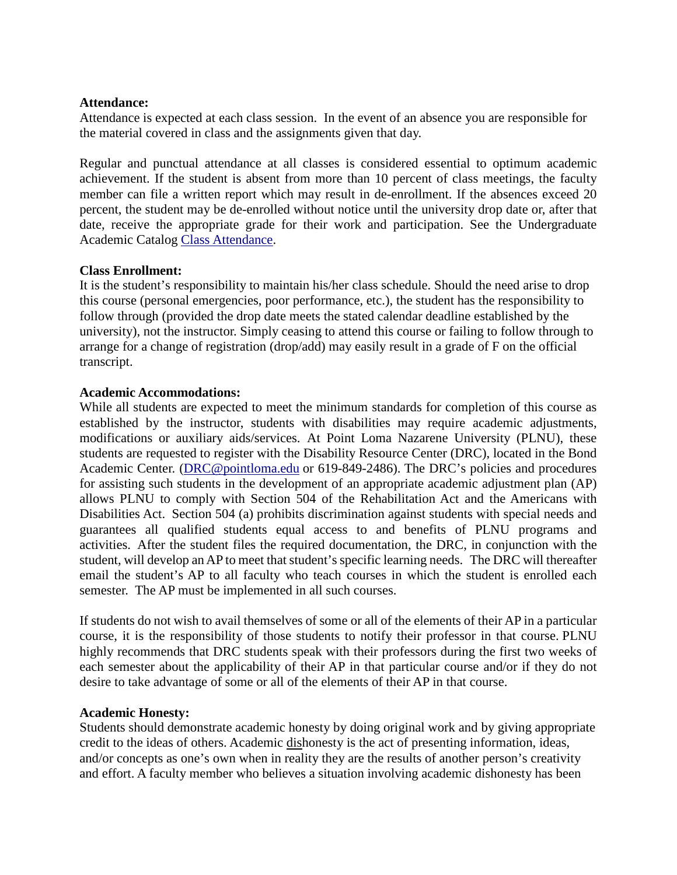#### **Attendance:**

Attendance is expected at each class session. In the event of an absence you are responsible for the material covered in class and the assignments given that day.

Regular and punctual attendance at all classes is considered essential to optimum academic achievement. If the student is absent from more than 10 percent of class meetings, the faculty member can file a written report which may result in de-enrollment. If the absences exceed 20 percent, the student may be de-enrolled without notice until the university drop date or, after that date, receive the appropriate grade for their work and participation. See the Undergraduate Academic Catalog [Class Attendance.](https://catalog.pointloma.edu/content.php?catoid=35&navoid=2136#Class_Attendance)

#### **Class Enrollment:**

It is the student's responsibility to maintain his/her class schedule. Should the need arise to drop this course (personal emergencies, poor performance, etc.), the student has the responsibility to follow through (provided the drop date meets the stated calendar deadline established by the university), not the instructor. Simply ceasing to attend this course or failing to follow through to arrange for a change of registration (drop/add) may easily result in a grade of F on the official transcript.

#### **Academic Accommodations:**

While all students are expected to meet the minimum standards for completion of this course as established by the instructor, students with disabilities may require academic adjustments, modifications or auxiliary aids/services. At Point Loma Nazarene University (PLNU), these students are requested to register with the Disability Resource Center (DRC), located in the Bond Academic Center. [\(DRC@pointloma.edu](mailto:DRC@pointloma.edu) or 619-849-2486). The DRC's policies and procedures for assisting such students in the development of an appropriate academic adjustment plan (AP) allows PLNU to comply with Section 504 of the Rehabilitation Act and the Americans with Disabilities Act. Section 504 (a) prohibits discrimination against students with special needs and guarantees all qualified students equal access to and benefits of PLNU programs and activities. After the student files the required documentation, the DRC, in conjunction with the student, will develop an AP to meet that student's specific learning needs. The DRC will thereafter email the student's AP to all faculty who teach courses in which the student is enrolled each semester. The AP must be implemented in all such courses.

If students do not wish to avail themselves of some or all of the elements of their AP in a particular course, it is the responsibility of those students to notify their professor in that course. PLNU highly recommends that DRC students speak with their professors during the first two weeks of each semester about the applicability of their AP in that particular course and/or if they do not desire to take advantage of some or all of the elements of their AP in that course.

#### **Academic Honesty:**

Students should demonstrate academic honesty by doing original work and by giving appropriate credit to the ideas of others. Academic dishonesty is the act of presenting information, ideas, and/or concepts as one's own when in reality they are the results of another person's creativity and effort. A faculty member who believes a situation involving academic dishonesty has been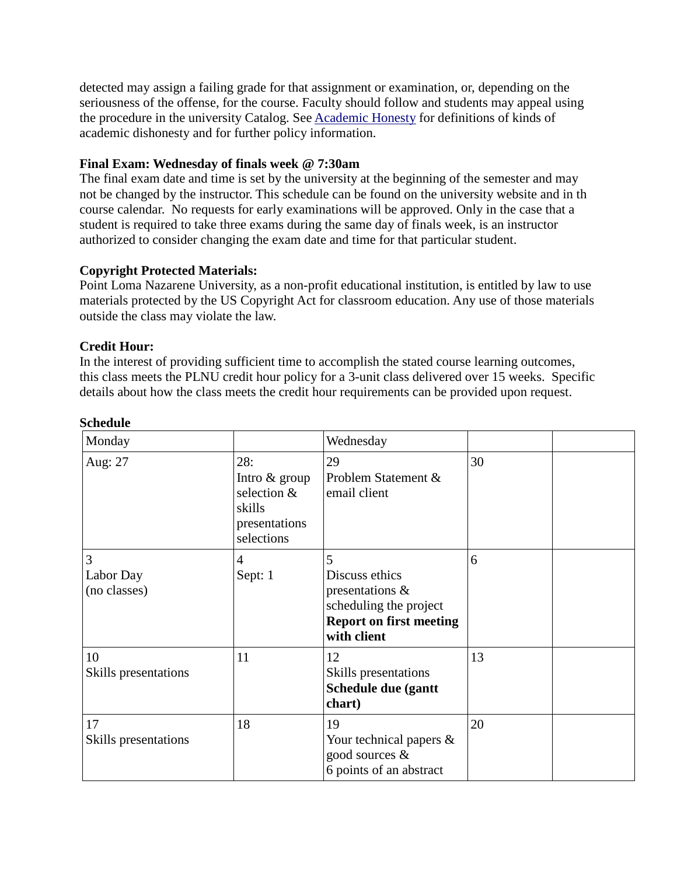detected may assign a failing grade for that assignment or examination, or, depending on the seriousness of the offense, for the course. Faculty should follow and students may appeal using the procedure in the university Catalog. Se[e Academic Honesty](https://catalog.pointloma.edu/content.php?catoid=35&navoid=2136#Academic_Honesty) for definitions of kinds of academic dishonesty and for further policy information.

# **Final Exam: Wednesday of finals week @ 7:30am**

The final exam date and time is set by the university at the beginning of the semester and may not be changed by the instructor. This schedule can be found on the university website and in th course calendar. No requests for early examinations will be approved. Only in the case that a student is required to take three exams during the same day of finals week, is an instructor authorized to consider changing the exam date and time for that particular student.

# **Copyright Protected Materials:**

Point Loma Nazarene University, as a non-profit educational institution, is entitled by law to use materials protected by the US Copyright Act for classroom education. Any use of those materials outside the class may violate the law.

# **Credit Hour:**

In the interest of providing sufficient time to accomplish the stated course learning outcomes, this class meets the PLNU credit hour policy for a 3-unit class delivered over 15 weeks. Specific details about how the class meets the credit hour requirements can be provided upon request.

| Monday                         |                                                                              | Wednesday                                                                                                            |    |
|--------------------------------|------------------------------------------------------------------------------|----------------------------------------------------------------------------------------------------------------------|----|
| Aug: 27                        | 28:<br>Intro & group<br>selection &<br>skills<br>presentations<br>selections | 29<br>Problem Statement &<br>email client                                                                            | 30 |
| 3<br>Labor Day<br>(no classes) | 4<br>Sept: 1                                                                 | 5<br>Discuss ethics<br>presentations $\&$<br>scheduling the project<br><b>Report on first meeting</b><br>with client | 6  |
| 10<br>Skills presentations     | 11                                                                           | 12<br>Skills presentations<br>Schedule due (gantt<br>chart)                                                          | 13 |
| 17<br>Skills presentations     | 18                                                                           | 19<br>Your technical papers $\&$<br>good sources &<br>6 points of an abstract                                        | 20 |

#### **Schedule**